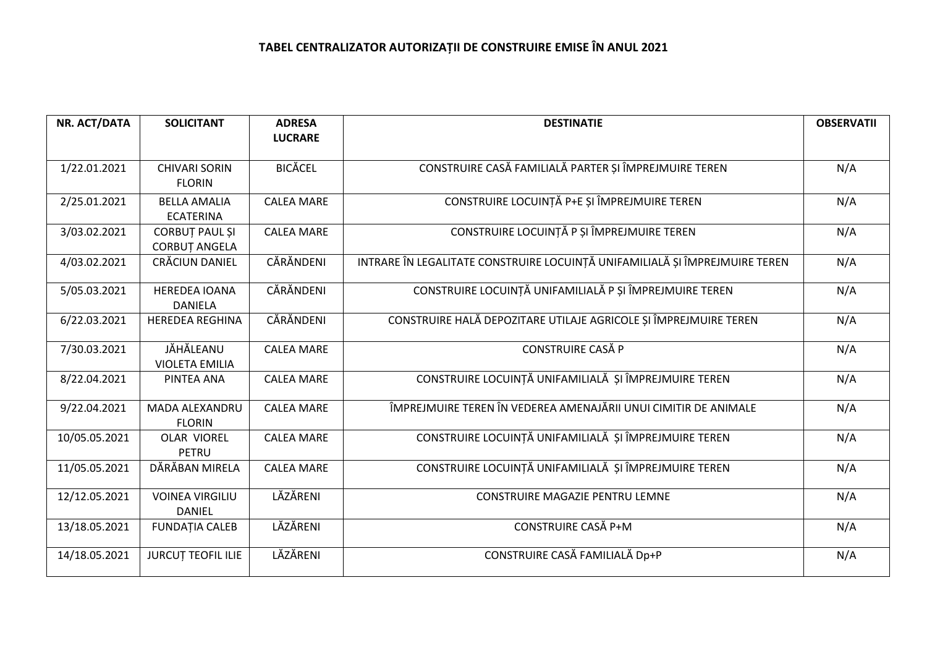| NR. ACT/DATA  | <b>SOLICITANT</b>                             | <b>ADRESA</b><br><b>LUCRARE</b> | <b>DESTINATIE</b>                                                           | <b>OBSERVATII</b> |
|---------------|-----------------------------------------------|---------------------------------|-----------------------------------------------------------------------------|-------------------|
| 1/22.01.2021  | <b>CHIVARI SORIN</b><br><b>FLORIN</b>         | <b>BICĂCEL</b>                  | CONSTRUIRE CASĂ FAMILIALĂ PARTER ȘI ÎMPREJMUIRE TEREN                       | N/A               |
| 2/25.01.2021  | <b>BELLA AMALIA</b><br><b>ECATERINA</b>       | <b>CALEA MARE</b>               | CONSTRUIRE LOCUINȚĂ P+E ȘI ÎMPREJMUIRE TEREN                                | N/A               |
| 3/03.02.2021  | <b>CORBUT PAUL SI</b><br><b>CORBUT ANGELA</b> | <b>CALEA MARE</b>               | CONSTRUIRE LOCUINȚĂ P ȘI ÎMPREJMUIRE TEREN                                  | N/A               |
| 4/03.02.2021  | CRĂCIUN DANIEL                                | CĂRĂNDENI                       | INTRARE ÎN LEGALITATE CONSTRUIRE LOCUINȚĂ UNIFAMILIALĂ ȘI ÎMPREJMUIRE TEREN | N/A               |
| 5/05.03.2021  | <b>HEREDEA IOANA</b><br><b>DANIELA</b>        | CĂRĂNDENI                       | CONSTRUIRE LOCUINȚĂ UNIFAMILIALĂ P ȘI ÎMPREJMUIRE TEREN                     | N/A               |
| 6/22.03.2021  | <b>HEREDEA REGHINA</b>                        | CĂRĂNDENI                       | CONSTRUIRE HALĂ DEPOZITARE UTILAJE AGRICOLE ȘI ÎMPREJMUIRE TEREN            | N/A               |
| 7/30.03.2021  | JĂHĂLEANU<br><b>VIOLETA EMILIA</b>            | <b>CALEA MARE</b>               | <b>CONSTRUIRE CASĂ P</b>                                                    | N/A               |
| 8/22.04.2021  | PINTEA ANA                                    | <b>CALEA MARE</b>               | CONSTRUIRE LOCUINȚĂ UNIFAMILIALĂ ȘI ÎMPREJMUIRE TEREN                       | N/A               |
| 9/22.04.2021  | <b>MADA ALEXANDRU</b><br><b>FLORIN</b>        | <b>CALEA MARE</b>               | ÎMPREJMUIRE TEREN ÎN VEDEREA AMENAJĂRII UNUI CIMITIR DE ANIMALE             | N/A               |
| 10/05.05.2021 | <b>OLAR VIOREL</b><br>PETRU                   | <b>CALEA MARE</b>               | CONSTRUIRE LOCUINȚĂ UNIFAMILIALĂ ȘI ÎMPREJMUIRE TEREN                       | N/A               |
| 11/05.05.2021 | DĂRĂBAN MIRELA                                | <b>CALEA MARE</b>               | CONSTRUIRE LOCUINȚĂ UNIFAMILIALĂ ȘI ÎMPREJMUIRE TEREN                       | N/A               |
| 12/12.05.2021 | <b>VOINEA VIRGILIU</b><br><b>DANIEL</b>       | LĂZĂRENI                        | CONSTRUIRE MAGAZIE PENTRU LEMNE                                             | N/A               |
| 13/18.05.2021 | <b>FUNDAȚIA CALEB</b>                         | LĂZĂRENI                        | CONSTRUIRE CASĂ P+M                                                         | N/A               |
| 14/18.05.2021 | <b>JURCUT TEOFIL ILIE</b>                     | LĂZĂRENI                        | CONSTRUIRE CASĂ FAMILIALĂ Dp+P                                              | N/A               |